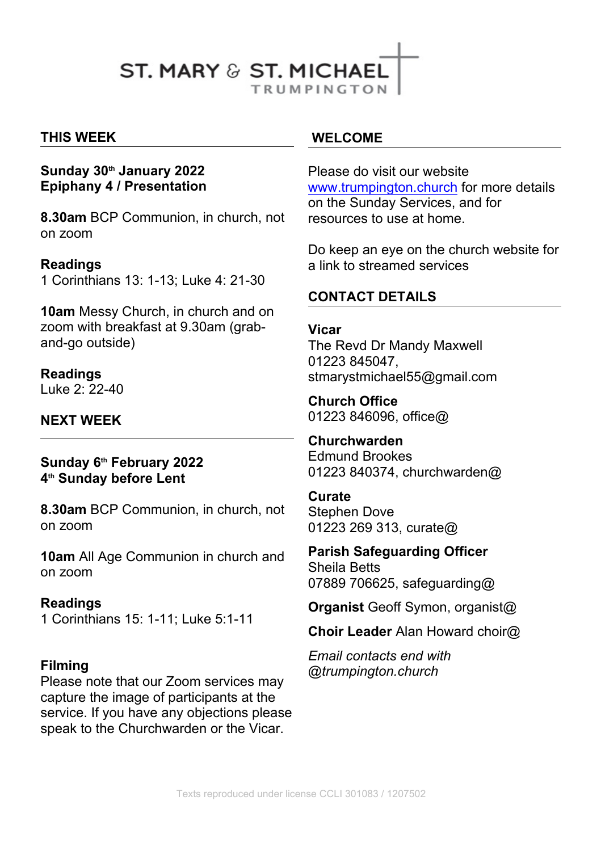# **ST. MARY & ST. MICHAEL**

**TRUMPINGTON** 

#### **THIS WEEK**

#### **Sunday 30th January 2022 Epiphany 4 / Presentation**

**8.30am** BCP Communion, in church, not on zoom

#### **Readings**

1 Corinthians 13: 1-13; Luke 4: 21-30

**10am** Messy Church, in church and on zoom with breakfast at 9.30am (graband-go outside)

**Readings** Luke 2: 22-40

## **NEXT WEEK**

#### **Sunday 6th February 2022 4 th Sunday before Lent**

**8.30am** BCP Communion, in church, not on zoom

**10am** All Age Communion in church and on zoom

#### **Readings**

1 Corinthians 15: 1-11; Luke 5:1-11

#### **Filming**

Please note that our Zoom services may capture the image of participants at the service. If you have any objections please speak to the Churchwarden or the Vicar.

#### **WELCOME**

Please do visit our website [www.trumpington.church](http://www.trumpington.church) for more details on the Sunday Services, and for resources to use at home.

Do keep an eye on the church website for a link to streamed services

#### **CONTACT DETAILS**

#### **Vicar**

The Revd Dr Mandy Maxwell 01223 845047, stmarystmichael55@gmail.com

**Church Office**  01223 846096, office@

**Churchwarden** Edmund Brookes 01223 840374, churchwarden@

**Curate** Stephen Dove 01223 269 313, curate@

**Parish Safeguarding Officer** Sheila Betts 07889 706625, safeguarding@

**Organist** Geoff Symon, organist@

**Choir Leader** Alan Howard choir@

*Email contacts end with @trumpington.church*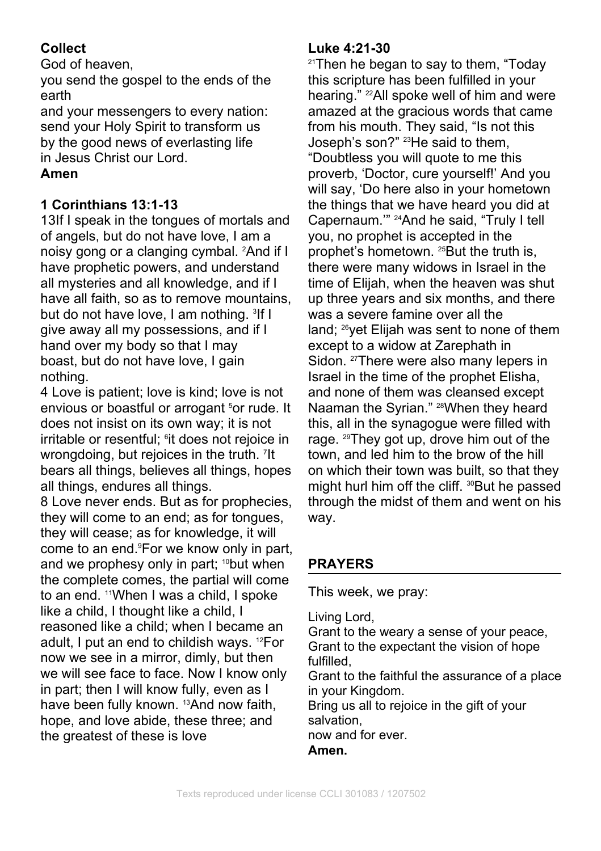# **Collect**

God of heaven,

you send the gospel to the ends of the earth

and your messengers to every nation: send your Holy Spirit to transform us by the good news of everlasting life in Jesus Christ our Lord.

# **Amen**

# **1 Corinthians 13:1-13**

13If I speak in the tongues of mortals and of angels, but do not have love, I am a noisy gong or a clanging cymbal. 2And if I have prophetic powers, and understand all mysteries and all knowledge, and if I have all faith, so as to remove mountains. but do not have love. I am nothing. <sup>3</sup>If I give away all my possessions, and if I hand over my body so that I may boast, but do not have love, I gain nothing.

4 Love is patient; love is kind; love is not envious or boastful or arrogant <sup>5</sup>or rude. It does not insist on its own way; it is not irritable or resentful; <sup>6</sup>it does not rejoice in rage. <sup>29</sup>Th wrongdoing, but rejoices in the truth. <sup>7</sup>It bears all things, believes all things, hopes all things, endures all things.

8 Love never ends. But as for prophecies, they will come to an end; as for tongues, they will cease; as for knowledge, it will come to an end.9For we know only in part, and we prophesy only in part; <sup>10</sup>but when the complete comes, the partial will come to an end. <sup>11</sup>When I was a child, I spoke like a child, I thought like a child, I reasoned like a child; when I became an adult, I put an end to childish ways. 12For now we see in a mirror, dimly, but then we will see face to face. Now I know only in part; then I will know fully, even as I have been fully known. <sup>13</sup>And now faith, hope, and love abide, these three; and the greatest of these is love

## **Luke 4:21-30**

If I was a severe famine over all the It town, and led him to the brow of the hill <sup>21</sup>Then he began to say to them. "Today this scripture has been fulfilled in your hearing." 22All spoke well of him and were amazed at the gracious words that came from his mouth. They said, "Is not this Joseph's son?" <sup>23</sup>He said to them, "Doubtless you will quote to me this proverb, 'Doctor, cure yourself!' And you will say, 'Do here also in your hometown the things that we have heard you did at Capernaum.'" 24And he said, "Truly I tell you, no prophet is accepted in the prophet's hometown. <sup>25</sup>But the truth is, there were many widows in Israel in the time of Elijah, when the heaven was shut up three years and six months, and there land: <sup>26</sup>yet Elijah was sent to none of them except to a widow at Zarephath in Sidon. <sup>27</sup>There were also many lepers in Israel in the time of the prophet Elisha, and none of them was cleansed except Naaman the Syrian." <sup>28</sup>When they heard this, all in the synagogue were filled with rage. <sup>29</sup>They got up, drove him out of the on which their town was built, so that they might hurl him off the cliff. <sup>30</sup>But he passed through the midst of them and went on his way.

# **PRAYERS**

This week, we pray:

Living Lord,

Grant to the weary a sense of your peace, Grant to the expectant the vision of hope fulfilled,

Grant to the faithful the assurance of a place in your Kingdom.

Bring us all to rejoice in the gift of your salvation,

now and for ever.

**Amen.**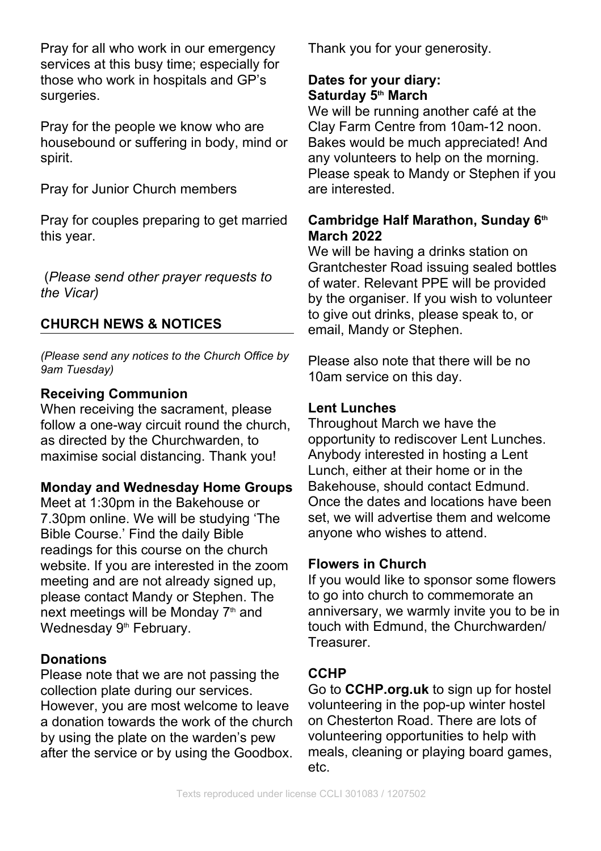Pray for all who work in our emergency services at this busy time; especially for those who work in hospitals and GP's surgeries.

Pray for the people we know who are housebound or suffering in body, mind or spirit.

Pray for Junior Church members

Pray for couples preparing to get married this year.

 (*Please send other prayer requests to the Vicar)*

## **CHURCH NEWS & NOTICES**

*(Please send any notices to the Church Office by 9am Tuesday)*

#### **Receiving Communion**

When receiving the sacrament, please follow a one-way circuit round the church, as directed by the Churchwarden, to maximise social distancing. Thank you!

#### **Monday and Wednesday Home Groups**

Meet at 1:30pm in the Bakehouse or 7.30pm online. We will be studying 'The Bible Course.' Find the daily Bible readings for this course on the church website. If you are interested in the zoom meeting and are not already signed up, please contact Mandy or Stephen. The next meetings will be Monday 7<sup>th</sup> and Wednesday 9<sup>th</sup> February.

#### **Donations**

Please note that we are not passing the collection plate during our services. However, you are most welcome to leave a donation towards the work of the church by using the plate on the warden's pew after the service or by using the Goodbox.

Thank you for your generosity.

## **Dates for your diary: Saturday 5th March**

We will be running another café at the Clay Farm Centre from 10am-12 noon. Bakes would be much appreciated! And any volunteers to help on the morning. Please speak to Mandy or Stephen if you are interested.

## **Cambridge Half Marathon, Sunday 6th March 2022**

We will be having a drinks station on Grantchester Road issuing sealed bottles of water. Relevant PPE will be provided by the organiser. If you wish to volunteer to give out drinks, please speak to, or email, Mandy or Stephen.

Please also note that there will be no 10am service on this day.

#### **Lent Lunches**

Throughout March we have the opportunity to rediscover Lent Lunches. Anybody interested in hosting a Lent Lunch, either at their home or in the Bakehouse, should contact Edmund. Once the dates and locations have been set, we will advertise them and welcome anyone who wishes to attend.

#### **Flowers in Church**

If you would like to sponsor some flowers to go into church to commemorate an anniversary, we warmly invite you to be in touch with Edmund, the Churchwarden/ Treasurer.

## **CCHP**

Go to **CCHP.org.uk** to sign up for hostel volunteering in the pop-up winter hostel on Chesterton Road. There are lots of volunteering opportunities to help with meals, cleaning or playing board games, etc.